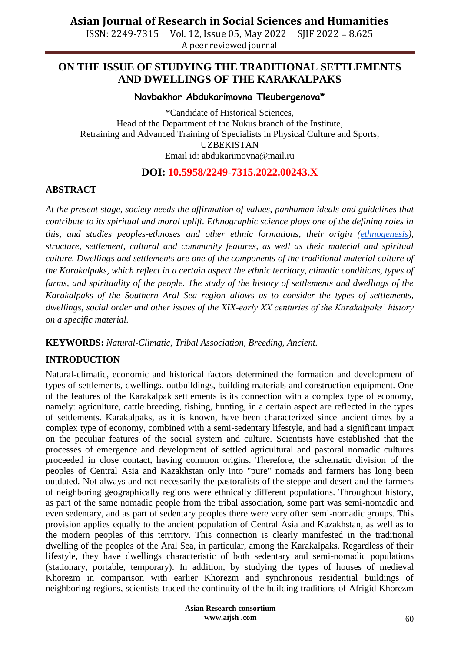ISSN: 2249-7315 Vol. 12, Issue 05, May 2022 SJIF 2022 = 8.625 A peer reviewed journal

### **ON THE ISSUE OF STUDYING THE TRADITIONAL SETTLEMENTS AND DWELLINGS OF THE KARAKALPAKS**

**Navbakhor Abdukarimovna Tleubergenova\***

\*Candidate of Historical Sciences, Head of the Department of the Nukus branch of the Institute, Retraining and Advanced Training of Specialists in Physical Culture and Sports, UZBEKISTAN Email id: abdukarimovna@mail.ru

### **DOI: 10.5958/2249-7315.2022.00243.X**

#### **ABSTRACT**

*At the present stage, society needs the affirmation of values, panhuman ideals and guidelines that contribute to its spiritual and moral uplift. Ethnographic science plays one of the defining roles in this, and studies peoples-ethnoses and other ethnic formations, their origin [\(ethnogenesis\)](https://en.wikipedia.org/wiki/Ethnogenesis), structure, settlement, cultural and community features, as well as their material and spiritual culture. Dwellings and settlements are one of the components of the traditional material culture of the Karakalpaks, which reflect in a certain aspect the ethnic territory, climatic conditions, types of farms, and spirituality of the people. The study of the history of settlements and dwellings of the Karakalpaks of the Southern Aral Sea region allows us to consider the types of settlements, dwellings, social order and other issues of the XIX-early XX centuries of the Karakalpaks' history on a specific material.*

#### **KEYWORDS:** *Natural-Climatic, Tribal Association, Breeding, Ancient.*

#### **INTRODUCTION**

Natural-climatic, economic and historical factors determined the formation and development of types of settlements, dwellings, outbuildings, building materials and construction equipment. One of the features of the Karakalpak settlements is its connection with a complex type of economy, namely: agriculture, cattle breeding, fishing, hunting, in a certain aspect are reflected in the types of settlements. Karakalpaks, as it is known, have been characterized since ancient times by a complex type of economy, combined with a semi-sedentary lifestyle, and had a significant impact on the peculiar features of the social system and culture. Scientists have established that the processes of emergence and development of settled agricultural and pastoral nomadic cultures proceeded in close contact, having common origins. Therefore, the schematic division of the peoples of Central Asia and Kazakhstan only into "pure" nomads and farmers has long been outdated. Not always and not necessarily the pastoralists of the steppe and desert and the farmers of neighboring geographically regions were ethnically different populations. Throughout history, as part of the same nomadic people from the tribal association, some part was semi-nomadic and even sedentary, and as part of sedentary peoples there were very often semi-nomadic groups. This provision applies equally to the ancient population of Central Asia and Kazakhstan, as well as to the modern peoples of this territory. This connection is clearly manifested in the traditional dwelling of the peoples of the Aral Sea, in particular, among the Karakalpaks. Regardless of their lifestyle, they have dwellings characteristic of both sedentary and semi-nomadic populations (stationary, portable, temporary). In addition, by studying the types of houses of medieval Khorezm in comparison with earlier Khorezm and synchronous residential buildings of neighboring regions, scientists traced the continuity of the building traditions of Afrigid Khorezm

> **Asian Research consortium www.aijsh .com**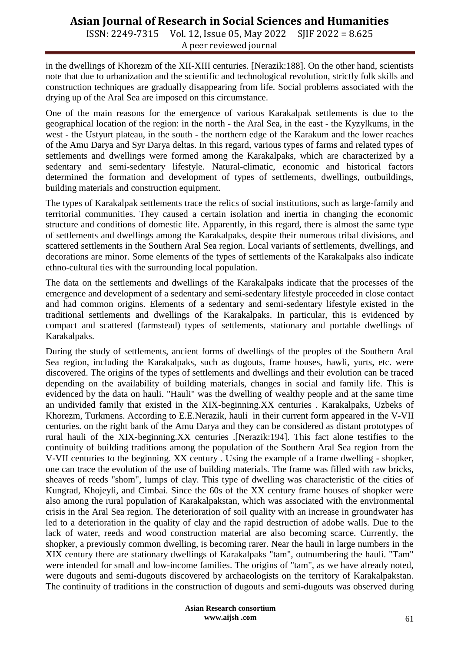## **Asian Journal of Research in Social Sciences and Humanities**

ISSN: 2249-7315 Vol. 12, Issue 05, May 2022 SJIF 2022 = 8.625 A peer reviewed journal

in the dwellings of Khorezm of the XII-XIII centuries. [Nerazik:188]. On the other hand, scientists note that due to urbanization and the scientific and technological revolution, strictly folk skills and construction techniques are gradually disappearing from life. Social problems associated with the drying up of the Aral Sea are imposed on this circumstance.

One of the main reasons for the emergence of various Karakalpak settlements is due to the geographical location of the region: in the north - the Aral Sea, in the east - the Kyzylkums, in the west - the Ustyurt plateau, in the south - the northern edge of the Karakum and the lower reaches of the Amu Darya and Syr Darya deltas. In this regard, various types of farms and related types of settlements and dwellings were formed among the Karakalpaks, which are characterized by a sedentary and semi-sedentary lifestyle. Natural-climatic, economic and historical factors determined the formation and development of types of settlements, dwellings, outbuildings, building materials and construction equipment.

The types of Karakalpak settlements trace the relics of social institutions, such as large-family and territorial communities. They caused a certain isolation and inertia in changing the economic structure and conditions of domestic life. Apparently, in this regard, there is almost the same type of settlements and dwellings among the Karakalpaks, despite their numerous tribal divisions, and scattered settlements in the Southern Aral Sea region. Local variants of settlements, dwellings, and decorations are minor. Some elements of the types of settlements of the Karakalpaks also indicate ethno-cultural ties with the surrounding local population.

The data on the settlements and dwellings of the Karakalpaks indicate that the processes of the emergence and development of a sedentary and semi-sedentary lifestyle proceeded in close contact and had common origins. Elements of a sedentary and semi-sedentary lifestyle existed in the traditional settlements and dwellings of the Karakalpaks. In particular, this is evidenced by compact and scattered (farmstead) types of settlements, stationary and portable dwellings of Karakalpaks.

During the study of settlements, ancient forms of dwellings of the peoples of the Southern Aral Sea region, including the Karakalpaks, such as dugouts, frame houses, hawli, yurts, etc. were discovered. The origins of the types of settlements and dwellings and their evolution can be traced depending on the availability of building materials, changes in social and family life. This is evidenced by the data on hauli. "Hauli" was the dwelling of wealthy people and at the same time an undivided family that existed in the XIX-beginning.XX centuries . Karakalpaks, Uzbeks of Khorezm, Turkmens. According to E.E.Nerazik, hauli in their current form appeared in the V-VII centuries. on the right bank of the Amu Darya and they can be considered as distant prototypes of rural hauli of the XIX-beginning.XX centuries .[Nerazik:194]. This fact alone testifies to the continuity of building traditions among the population of the Southern Aral Sea region from the V-VII centuries to the beginning. XX century . Using the example of a frame dwelling - shopker, one can trace the evolution of the use of building materials. The frame was filled with raw bricks, sheaves of reeds "shom", lumps of clay. This type of dwelling was characteristic of the cities of Kungrad, Khojeyli, and Cimbai. Since the 60s of the XX century frame houses of shopker were also among the rural population of Karakalpakstan, which was associated with the environmental crisis in the Aral Sea region. The deterioration of soil quality with an increase in groundwater has led to a deterioration in the quality of clay and the rapid destruction of adobe walls. Due to the lack of water, reeds and wood construction material are also becoming scarce. Currently, the shopker, a previously common dwelling, is becoming rarer. Near the hauli in large numbers in the XIX century there are stationary dwellings of Karakalpaks "tam", outnumbering the hauli. "Tam" were intended for small and low-income families. The origins of "tam", as we have already noted, were dugouts and semi-dugouts discovered by archaeologists on the territory of Karakalpakstan. The continuity of traditions in the construction of dugouts and semi-dugouts was observed during

> **Asian Research consortium www.aijsh .com**